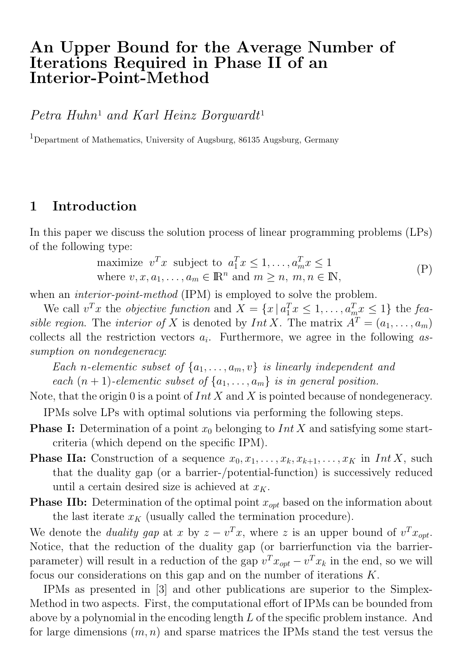# An Upper Bound for the Average Number of Iterations Required in Phase II of an Interior-Point-Method

*Petra Huhn*<sup>1</sup> *and Karl Heinz Borgwardt*<sup>1</sup>

<sup>1</sup>Department of Mathematics, University of Augsburg, 86135 Augsburg, Germany

### 1 Introduction

In this paper we discuss the solution process of linear programming problems (LPs) of the following type:

maximize 
$$
v^T x
$$
 subject to  $a_1^T x \le 1, ..., a_m^T x \le 1$   
where  $v, x, a_1, ..., a_m \in \mathbb{R}^n$  and  $m \ge n, m, n \in \mathbb{N}$ ,  $(P)$ 

when an *interior-point-method* (IPM) is employed to solve the problem.

We call  $v^T x$  the *objective function* and  $X = \{x \mid a_1^T x \leq 1, \ldots, a_m^T x \leq 1\}$  the *feasible region.* The *interior of* X is denoted by  $Int X$ . The matrix  $A^T = (a_1, \ldots, a_m)$ collects all the restriction vectors ai. Furthermore, we agree in the following *assumption on nondegeneracy*:

*Each n*-elementic subset of  $\{a_1, \ldots, a_m, v\}$  *is linearly independent and each*  $(n + 1)$ *-elementic subset of*  $\{a_1, \ldots, a_m\}$  *is in general position.* 

Note, that the origin 0 is a point of  $Int X$  and X is pointed because of nondegeneracy. IPMs solve LPs with optimal solutions via performing the following steps.

- **Phase I:** Determination of a point  $x_0$  belonging to Int X and satisfying some startcriteria (which depend on the specific IPM).
- **Phase IIa:** Construction of a sequence  $x_0, x_1, \ldots, x_k, x_{k+1}, \ldots, x_K$  in Int X, such that the duality gap (or a barrier-/potential-function) is successively reduced until a certain desired size is achieved at  $x_K$ .
- **Phase IIb:** Determination of the optimal point  $x_{opt}$  based on the information about the last iterate  $x_K$  (usually called the termination procedure).

We denote the *duality gap* at x by  $z - v^T x$ , where z is an upper bound of  $v^T x_{\text{out}}$ . Notice, that the reduction of the duality gap (or barrierfunction via the barrierparameter) will result in a reduction of the gap  $v^T x_{opt} - v^T x_k$  in the end, so we will focus our considerations on this gap and on the number of iterations K.

IPMs as presented in [3] and other publications are superior to the Simplex-Method in two aspects. First, the computational effort of IPMs can be bounded from above by a polynomial in the encoding length L of the specific problem instance. And for large dimensions  $(m, n)$  and sparse matrices the IPMs stand the test versus the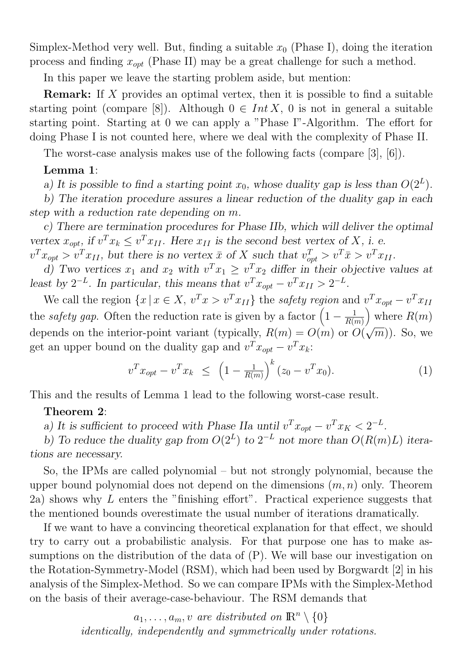Simplex-Method very well. But, finding a suitable  $x_0$  (Phase I), doing the iteration process and finding  $x_{opt}$  (Phase II) may be a great challenge for such a method.

In this paper we leave the starting problem aside, but mention:

Remark: If X provides an optimal vertex, then it is possible to find a suitable starting point (compare [8]). Although  $0 \in Int X$ , 0 is not in general a suitable starting point. Starting at 0 we can apply a "Phase I"-Algorithm. The effort for doing Phase I is not counted here, where we deal with the complexity of Phase II.

The worst-case analysis makes use of the following facts (compare [3], [6]).

#### Lemma 1:

a) It is possible to find a starting point  $x_0$ , whose duality gap is less than  $O(2^L)$ .

b) The iteration procedure assures a linear reduction of the duality gap in each step with a reduction rate depending on m.

c) There are termination procedures for Phase IIb, which will deliver the optimal vertex  $x_{opt}$ , if  $v^T x_k \le v^T x_{II}$ . Here  $x_{II}$  is the second best vertex of X, i. e.

 $v^T x_{opt} > v^T x_{II}$ , but there is no vertex  $\bar{x}$  of X such that  $v_{opt}^T > v^T \bar{x} > v^T x_{II}$ .

d) Two vertices  $x_1$  and  $x_2$  with  $v^T x_1 \ge v^T x_2$  differ in their objective values at least by  $2^{-L}$ . In particular, this means that  $v^T x_{opt} - v^T x_{II} > 2^{-L}$ .

We call the region  $\{x \mid x \in X, v^T x > v^T x_{II}\}$  the *safety region* and  $v^T x_{opt} - v^T x_{II}$ the *safety gap*. Often the reduction rate is given by a factor  $\left(1 - \frac{1}{R(m)}\right)$ ) where  $R(m)$ depends on the interior-point variant (typically,  $R(m) = O(m)$  or  $O(\sqrt{m})$ ). So, we get an upper bound on the duality gap and  $v^T x_{opt} - v^T x_k$ :

$$
v^T x_{opt} - v^T x_k \le \left(1 - \frac{1}{R(m)}\right)^k (z_0 - v^T x_0). \tag{1}
$$

This and the results of Lemma 1 lead to the following worst-case result.

#### Theorem 2:

a) It is sufficient to proceed with Phase IIa until  $v^T x_{opt} - v^T x_K < 2^{-L}$ .

b) To reduce the duality gap from  $O(2^L)$  to  $2^{-L}$  not more than  $O(R(m)L)$  iterations are necessary.

So, the IPMs are called polynomial – but not strongly polynomial, because the upper bound polynomial does not depend on the dimensions  $(m, n)$  only. Theorem 2a) shows why L enters the "finishing effort". Practical experience suggests that the mentioned bounds overestimate the usual number of iterations dramatically.

If we want to have a convincing theoretical explanation for that effect, we should try to carry out a probabilistic analysis. For that purpose one has to make assumptions on the distribution of the data of (P). We will base our investigation on the Rotation-Symmetry-Model (RSM), which had been used by Borgwardt [2] in his analysis of the Simplex-Method. So we can compare IPMs with the Simplex-Method on the basis of their average-case-behaviour. The RSM demands that

> $a_1, \ldots, a_m, v$  are distributed on  $\mathbb{R}^n \setminus \{0\}$ *identically, independently and symmetrically under rotations.*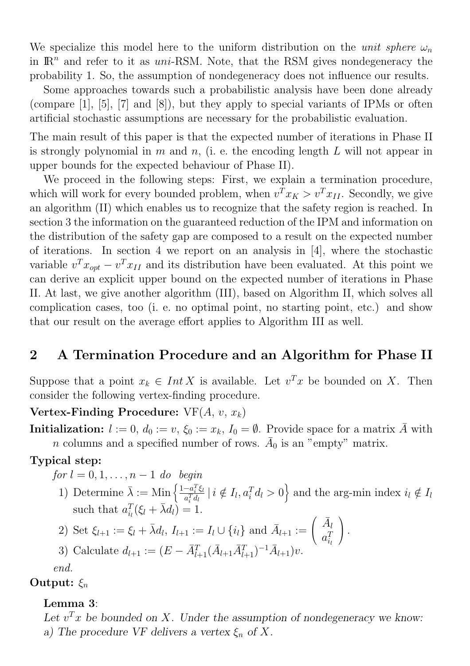We specialize this model here to the uniform distribution on the *unit sphere*  $\omega_n$ in  $\mathbb{R}^n$  and refer to it as uni-RSM. Note, that the RSM gives nondegeneracy the probability 1. So, the assumption of nondegeneracy does not influence our results.

Some approaches towards such a probabilistic analysis have been done already (compare [1], [5], [7] and [8]), but they apply to special variants of IPMs or often artificial stochastic assumptions are necessary for the probabilistic evaluation.

The main result of this paper is that the expected number of iterations in Phase II is strongly polynomial in m and n, (i. e. the encoding length  $L$  will not appear in upper bounds for the expected behaviour of Phase II).

We proceed in the following steps: First, we explain a termination procedure, which will work for every bounded problem, when  $v^T x_K > v^T x_{II}$ . Secondly, we give an algorithm (II) which enables us to recognize that the safety region is reached. In section 3 the information on the guaranteed reduction of the IPM and information on the distribution of the safety gap are composed to a result on the expected number of iterations. In section 4 we report on an analysis in [4], where the stochastic variable  $v^T x_{opt} - v^T x_{II}$  and its distribution have been evaluated. At this point we can derive an explicit upper bound on the expected number of iterations in Phase II. At last, we give another algorithm (III), based on Algorithm II, which solves all complication cases, too (i. e. no optimal point, no starting point, etc.) and show that our result on the average effort applies to Algorithm III as well.

## 2 A Termination Procedure and an Algorithm for Phase II

Suppose that a point  $x_k \in Int X$  is available. Let  $v^T x$  be bounded on X. Then consider the following vertex-finding procedure.

Vertex-Finding Procedure:  $VF(A, v, x_k)$ 

**Initialization:**  $l := 0$ ,  $d_0 := v$ ,  $\xi_0 := x_k$ ,  $I_0 = \emptyset$ . Provide space for a matrix  $\overline{A}$  with n columns and a specified number of rows.  $\bar{A}_0$  is an "empty" matrix.

#### Typical step:

*for*  $l = 0, 1, \ldots, n-1$  *do begin* 

1) Determine  $\bar{\lambda} := \text{Min}\left\{\frac{1-a_i^T\xi_l}{a^T d_l}\right\}$  $\frac{-a_i^T \xi_l}{a_i^T d_l} \mid i \notin I_l, a_i^T d_l > 0$  and the arg-min index  $i_l \notin I_l$ such that  $a_{i_l}^T(\xi_l + \bar{\lambda}d_l) = 1$ .

2) Set 
$$
\xi_{l+1} := \xi_l + \bar{\lambda} d_l
$$
,  $I_{l+1} := I_l \cup \{i_l\}$  and  $\bar{A}_{l+1} := \begin{pmatrix} \bar{A}_l \\ a_{i_l}^T \end{pmatrix}$ .

3) Calculate  $d_{l+1} := (E - \bar{A}_{l+1}^T (\bar{A}_{l+1} \bar{A}_{l+1}^T)^{-1} \bar{A}_{l+1}) v.$ 

*end.*

#### Output:  $\xi_n$

#### Lemma 3:

Let  $v^T x$  be bounded on X. Under the assumption of nondegeneracy we know: a) The procedure VF delivers a vertex  $\xi_n$  of X.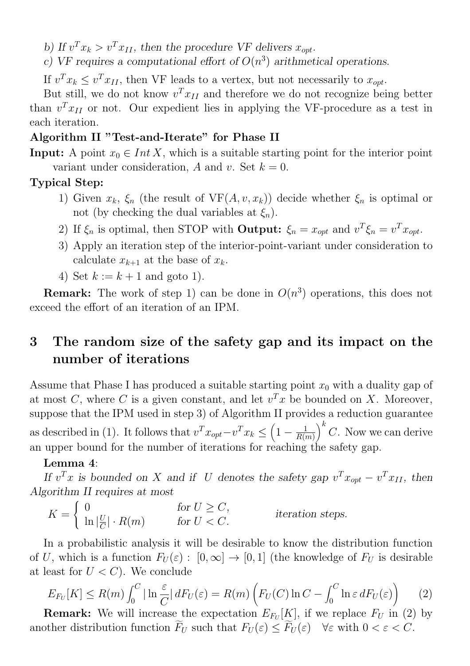b) If  $v^T x_k > v^T x_{II}$ , then the procedure VF delivers  $x_{opt}$ .

c) VF requires a computational effort of  $O(n^3)$  arithmetical operations.

If  $v^T x_k \le v^T x_{II}$ , then VF leads to a vertex, but not necessarily to  $x_{opt}$ .

But still, we do not know  $v^T x_{II}$  and therefore we do not recognize being better than  $v^T x_{II}$  or not. Our expedient lies in applying the VF-procedure as a test in each iteration.

#### Algorithm II "Test-and-Iterate" for Phase II

**Input:** A point  $x_0 \in Int X$ , which is a suitable starting point for the interior point variant under consideration, A and v. Set  $k = 0$ .

#### Typical Step:

- 1) Given  $x_k$ ,  $\xi_n$  (the result of  $VF(A, v, x_k)$ ) decide whether  $\xi_n$  is optimal or not (by checking the dual variables at  $\xi_n$ ).
- 2) If  $\xi_n$  is optimal, then STOP with **Output:**  $\xi_n = x_{opt}$  and  $v^T \xi_n = v^T x_{opt}$ .
- 3) Apply an iteration step of the interior-point-variant under consideration to calculate  $x_{k+1}$  at the base of  $x_k$ .
- 4) Set  $k := k + 1$  and goto 1).

**Remark:** The work of step 1) can be done in  $O(n^3)$  operations, this does not exceed the effort of an iteration of an IPM.

# 3 The random size of the safety gap and its impact on the number of iterations

Assume that Phase I has produced a suitable starting point  $x_0$  with a duality gap of at most C, where C is a given constant, and let  $v<sup>T</sup>x$  be bounded on X. Moreover, suppose that the IPM used in step 3) of Algorithm II provides a reduction guarantee as described in (1). It follows that  $v^T x_{opt} - v^T x_k \leq \left(1 - \frac{1}{R(m)}\right)$  $\setminus k$ C. Now we can derive an upper bound for the number of iterations for reaching the safety gap.

#### Lemma 4:

If  $v^T x$  is bounded on X and if U denotes the safety gap  $v^T x_{opt} - v^T x_{II}$ , then Algorithm II requires at most

 $K =$  $\sqrt{ }$  $\frac{1}{2}$  $\mathbf{I}$ 0 for  $U \geq C$ ,  $\ln |\frac{U}{C}| \cdot R(m)$  for  $U < C$ . iteration steps.

In a probabilistic analysis it will be desirable to know the distribution function of U, which is a function  $F_U(\varepsilon) : [0, \infty] \to [0, 1]$  (the knowledge of  $F_U$  is desirable at least for  $U < C$ ). We conclude

$$
E_{F_U}[K] \le R(m) \int_0^C |\ln \frac{\varepsilon}{C}| \, dF_U(\varepsilon) = R(m) \left( F_U(C) \ln C - \int_0^C \ln \varepsilon \, dF_U(\varepsilon) \right) \tag{2}
$$

**Remark:** We will increase the expectation  $E_{F_U}[K]$ , if we replace  $F_U$  in (2) by another distribution function  $\widetilde{F}_U$  such that  $F_U(\varepsilon) \leq \widetilde{F}_U(\varepsilon)$   $\forall \varepsilon$  with  $0 < \varepsilon < C$ .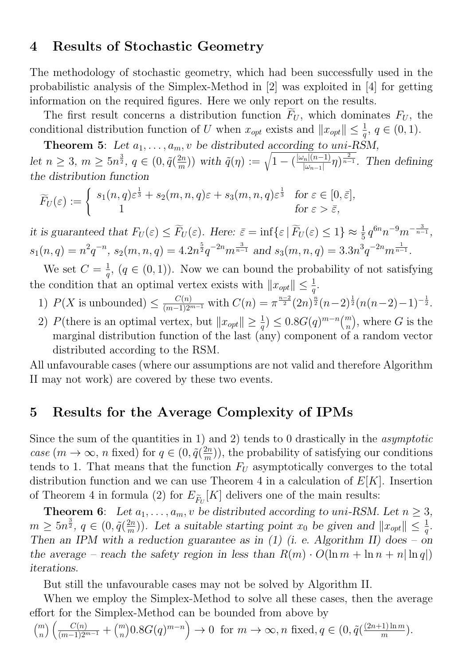#### 4 Results of Stochastic Geometry

The methodology of stochastic geometry, which had been successfully used in the probabilistic analysis of the Simplex-Method in [2] was exploited in [4] for getting information on the required figures. Here we only report on the results.

The first result concerns a distribution function  $\widetilde{F}_U$ , which dominates  $F_U$ , the conditional distribution function of U when  $x_{opt}$  exists and  $||x_{opt}|| \leq \frac{1}{q}$ ,  $q \in (0, 1)$ .

**Theorem 5:** Let  $a_1, \ldots, a_m, v$  be distributed according to uni-RSM, let  $n \geq 3$ ,  $m \geq 5n^{\frac{3}{2}}$ ,  $q \in (0, \tilde{q}(\frac{2n}{m}))$  with  $\tilde{q}(\eta) := \sqrt{1 - (\frac{|\omega_n|(n-1)}{|\omega_{n-1}|}\eta)^{\frac{2}{n-1}}}$ . Then defining the distribution function

$$
\widetilde{F}_U(\varepsilon) := \begin{cases} s_1(n,q)\varepsilon^{\frac{1}{3}} + s_2(m,n,q)\varepsilon + s_3(m,n,q)\varepsilon^{\frac{1}{3}} & \text{for } \varepsilon \in [0,\bar{\varepsilon}],\\ 1 & \text{for } \varepsilon > \bar{\varepsilon}, \end{cases}
$$

it is guaranteed that  $F_U(\varepsilon) \leq \widetilde{F}_U(\varepsilon)$ . Here:  $\bar{\varepsilon} = \inf \{ \varepsilon \mid \widetilde{F}_U(\varepsilon) \leq 1 \} \approx \frac{1}{5} q^{6n} n^{-9} m^{-\frac{3}{n-1}},$  $s_1(n,q) = n^2 q^{-n}, s_2(m,n,q) = 4.2n^{\frac{5}{2}} q^{-2n} m^{\frac{3}{n-1}}$  and  $s_3(m,n,q) = 3.3n^3 q^{-2n} m^{\frac{1}{n-1}}$ .

We set  $C = \frac{1}{q}$ ,  $(q \in (0, 1))$ . Now we can bound the probability of not satisfying the condition that an optimal vertex exists with  $||x_{opt}|| \leq \frac{1}{q}$ .

- 1)  $P(X \text{ is unbounded}) \leq \frac{C(n)}{(m-1)2^{m-1}} \text{ with } C(n) = \pi^{\frac{n-2}{2}} (2n)^{\frac{n}{2}} (n-2)^{\frac{1}{2}} (n(n-2)-1)^{-\frac{1}{2}}.$
- 2) P(there is an optimal vertex, but  $||x_{opt}|| \ge \frac{1}{q} \le 0.8G(q)^{m-n} {m \choose n}$ n ), where  $G$  is the marginal distribution function of the last (any) component of a random vector distributed according to the RSM.

All unfavourable cases (where our assumptions are not valid and therefore Algorithm II may not work) are covered by these two events.

## 5 Results for the Average Complexity of IPMs

Since the sum of the quantities in 1) and 2) tends to 0 drastically in the *asymptotic case*  $(m \to \infty, n$  fixed) for  $q \in (0, \tilde{q}(\frac{2n}{m}))$ , the probability of satisfying our conditions tends to 1. That means that the function  $F_U$  asymptotically converges to the total distribution function and we can use Theorem 4 in a calculation of  $E[K]$ . Insertion of Theorem 4 in formula (2) for  $E_{\tilde{F}_{U}}[K]$  delivers one of the main results:

**Theorem 6:** Let  $a_1, \ldots, a_m, v$  be distributed according to uni-RSM. Let  $n \geq 3$ ,  $m \ge 5n^{\frac{3}{2}}, q \in (0, \tilde{q}(\frac{2n}{m}))$ . Let a suitable starting point  $x_0$  be given and  $||x_{opt}|| \le \frac{1}{q}$ . Then an IPM with a reduction guarantee as in  $(1)$  (i. e. Algorithm II) does – on the average – reach the safety region in less than  $R(m) \cdot O(\ln m + \ln n + n |\ln q|)$ iterations.

But still the unfavourable cases may not be solved by Algorithm II.

When we employ the Simplex-Method to solve all these cases, then the average effort for the Simplex-Method can be bounded from above by

$$
\binom{m}{n}\left(\frac{C(n)}{(m-1)2^{m-1}}+\binom{m}{n}0.8G(q)^{m-n}\right)\to 0 \text{ for } m\to\infty, n \text{ fixed}, q\in(0,\tilde{q}(\frac{(2n+1)\ln m}{m}).
$$